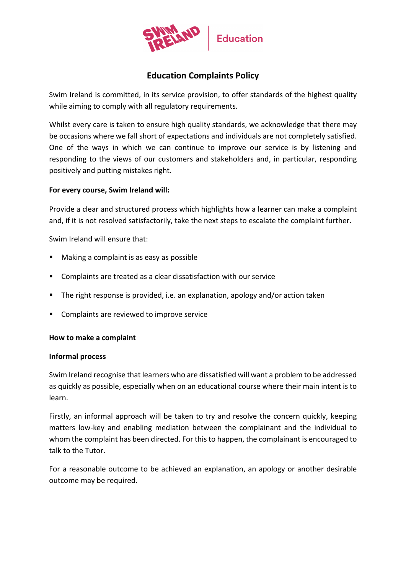

# **Education Complaints Policy**

Swim Ireland is committed, in its service provision, to offer standards of the highest quality while aiming to comply with all regulatory requirements.

Whilst every care is taken to ensure high quality standards, we acknowledge that there may be occasions where we fall short of expectations and individuals are not completely satisfied. One of the ways in which we can continue to improve our service is by listening and responding to the views of our customers and stakeholders and, in particular, responding positively and putting mistakes right.

#### **For every course, Swim Ireland will:**

Provide a clear and structured process which highlights how a learner can make a complaint and, if it is not resolved satisfactorily, take the next steps to escalate the complaint further.

Swim Ireland will ensure that:

- Making a complaint is as easy as possible
- Complaints are treated as a clear dissatisfaction with our service
- The right response is provided, i.e. an explanation, apology and/or action taken
- **EX Complaints are reviewed to improve service**

#### **How to make a complaint**

#### **Informal process**

Swim Ireland recognise that learners who are dissatisfied will want a problem to be addressed as quickly as possible, especially when on an educational course where their main intent is to learn.

Firstly, an informal approach will be taken to try and resolve the concern quickly, keeping matters low-key and enabling mediation between the complainant and the individual to whom the complaint has been directed. For this to happen, the complainant is encouraged to talk to the Tutor.

For a reasonable outcome to be achieved an explanation, an apology or another desirable outcome may be required.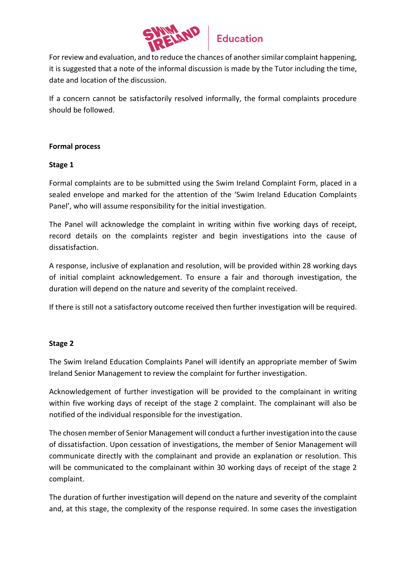

# **Education**

For review and evaluation, and to reduce the chances of another similar complaint happening, it is suggested that a note of the informal discussion is made by the Tutor including the time, date and location of the discussion.

If a concern cannot be satisfactorily resolved informally, the formal complaints procedure should be followed.

# **Formal process**

## **Stage 1**

Formal complaints are to be submitted using the Swim Ireland Complaint Form, placed in a sealed envelope and marked for the attention of the 'Swim Ireland Education Complaints Panel', who will assume responsibility for the initial investigation.

The Panel will acknowledge the complaint in writing within five working days of receipt, record details on the complaints register and begin investigations into the cause of dissatisfaction.

A response, inclusive of explanation and resolution, will be provided within 28 working days of initial complaint acknowledgement. To ensure a fair and thorough investigation, the duration will depend on the nature and severity of the complaint received.

If there is still not a satisfactory outcome received then further investigation will be required.

# **Stage 2**

The Swim Ireland Education Complaints Panel will identify an appropriate member of Swim Ireland Senior Management to review the complaint for further investigation.

Acknowledgement of further investigation will be provided to the complainant in writing within five working days of receipt of the stage 2 complaint. The complainant will also be notified of the individual responsible for the investigation.

The chosen member of Senior Management will conduct a further investigation into the cause of dissatisfaction. Upon cessation of investigations, the member of Senior Management will communicate directly with the complainant and provide an explanation or resolution. This will be communicated to the complainant within 30 working days of receipt of the stage 2 complaint.

The duration of further investigation will depend on the nature and severity of the complaint and, at this stage, the complexity of the response required. In some cases the investigation